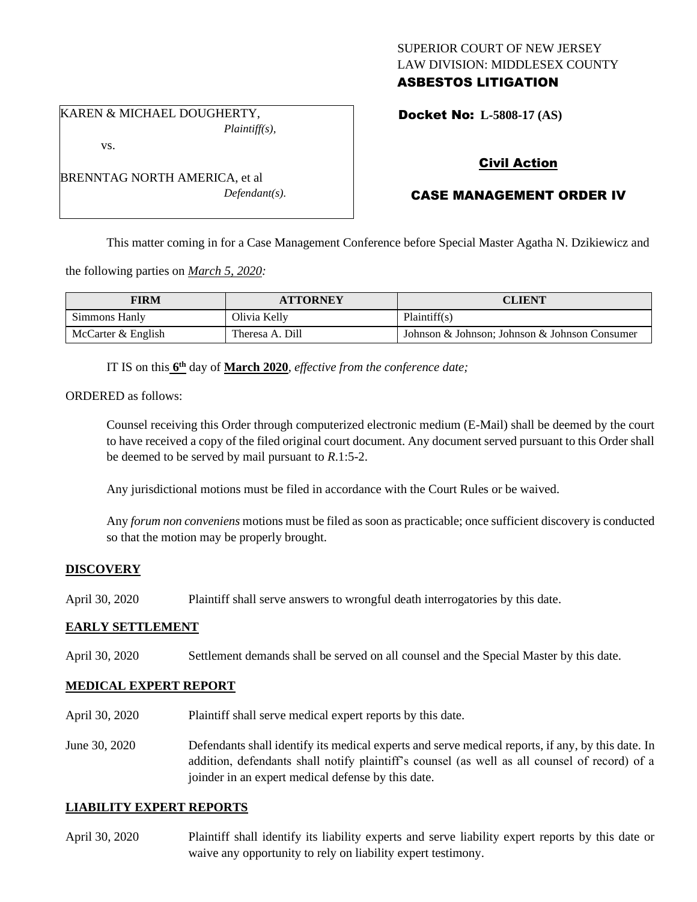## SUPERIOR COURT OF NEW JERSEY LAW DIVISION: MIDDLESEX COUNTY ASBESTOS LITIGATION

Docket No: **L-5808-17 (AS)** 

# Civil Action

# CASE MANAGEMENT ORDER IV

This matter coming in for a Case Management Conference before Special Master Agatha N. Dzikiewicz and

the following parties on *March 5, 2020:*

KAREN & MICHAEL DOUGHERTY,

BRENNTAG NORTH AMERICA, et al

vs.

| <b>FIRM</b>        | <b>ATTORNEY</b> | CLIENT                                        |
|--------------------|-----------------|-----------------------------------------------|
| Simmons Hanly      | Olivia Kelly    | Plaintiff(s)                                  |
| McCarter & English | Theresa A. Dill | Johnson & Johnson; Johnson & Johnson Consumer |

IT IS on this **6 th** day of **March 2020**, *effective from the conference date;*

*Plaintiff(s),*

*Defendant(s).*

ORDERED as follows:

Counsel receiving this Order through computerized electronic medium (E-Mail) shall be deemed by the court to have received a copy of the filed original court document. Any document served pursuant to this Order shall be deemed to be served by mail pursuant to *R*.1:5-2.

Any jurisdictional motions must be filed in accordance with the Court Rules or be waived.

Any *forum non conveniens* motions must be filed as soon as practicable; once sufficient discovery is conducted so that the motion may be properly brought.

### **DISCOVERY**

April 30, 2020 Plaintiff shall serve answers to wrongful death interrogatories by this date.

#### **EARLY SETTLEMENT**

April 30, 2020 Settlement demands shall be served on all counsel and the Special Master by this date.

### **MEDICAL EXPERT REPORT**

- April 30, 2020 Plaintiff shall serve medical expert reports by this date.
- June 30, 2020 Defendants shall identify its medical experts and serve medical reports, if any, by this date. In addition, defendants shall notify plaintiff's counsel (as well as all counsel of record) of a joinder in an expert medical defense by this date.

#### **LIABILITY EXPERT REPORTS**

April 30, 2020 Plaintiff shall identify its liability experts and serve liability expert reports by this date or waive any opportunity to rely on liability expert testimony.